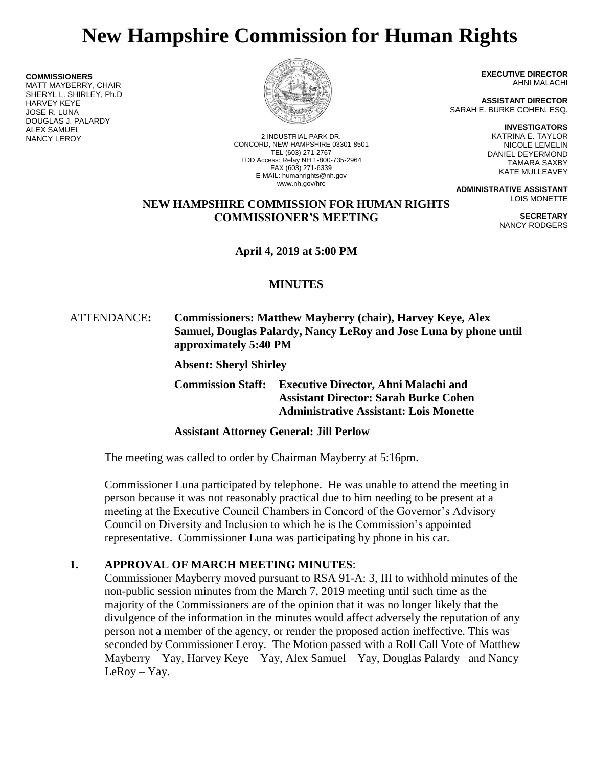# **New Hampshire Commission for Human Rights**

**COMMISSIONERS**

MATT MAYBERRY, CHAIR SHERYL L. SHIRLEY, Ph.D HARVEY KEYE JOSE R. LUNA DOUGLAS J. PALARDY ALEX SAMUEL



NANCY LEROY 2 INDUSTRIAL PARK DR. CONCORD, NEW HAMPSHIRE 03301-8501 TEL (603) 271-2767 TDD Access: Relay NH 1-800-735-2964 FAX (603) 271-6339 E-MAIL: humanrights@nh.gov www.nh.gov/hrc

**EXECUTIVE DIRECTOR** AHNI MALACHI

**ASSISTANT DIRECTOR** SARAH E. BURKE COHEN, ESQ.

> **INVESTIGATORS** KATRINA E. TAYLOR NICOLE LEMELIN DANIEL DEYERMOND TAMARA SAXBY KATE MULLEAVEY

> > **SECRETARY** NANCY RODGERS

**ADMINISTRATIVE ASSISTANT** LOIS MONETTE

## **NEW HAMPSHIRE COMMISSION FOR HUMAN RIGHTS COMMISSIONER'S MEETING**

**April 4, 2019 at 5:00 PM**

# **MINUTES**

# ATTENDANCE**: Commissioners: Matthew Mayberry (chair), Harvey Keye, Alex Samuel, Douglas Palardy, Nancy LeRoy and Jose Luna by phone until approximately 5:40 PM**

**Absent: Sheryl Shirley**

**Commission Staff: Executive Director, Ahni Malachi and Assistant Director: Sarah Burke Cohen Administrative Assistant: Lois Monette**

# **Assistant Attorney General: Jill Perlow**

The meeting was called to order by Chairman Mayberry at 5:16pm.

Commissioner Luna participated by telephone. He was unable to attend the meeting in person because it was not reasonably practical due to him needing to be present at a meeting at the Executive Council Chambers in Concord of the Governor's Advisory Council on Diversity and Inclusion to which he is the Commission's appointed representative. Commissioner Luna was participating by phone in his car.

# **1. APPROVAL OF MARCH MEETING MINUTES**:

Commissioner Mayberry moved pursuant to RSA 91-A: 3, III to withhold minutes of the non-public session minutes from the March 7, 2019 meeting until such time as the majority of the Commissioners are of the opinion that it was no longer likely that the divulgence of the information in the minutes would affect adversely the reputation of any person not a member of the agency, or render the proposed action ineffective. This was seconded by Commissioner Leroy. The Motion passed with a Roll Call Vote of Matthew Mayberry – Yay, Harvey Keye – Yay, Alex Samuel – Yay, Douglas Palardy –and Nancy LeRoy – Yay.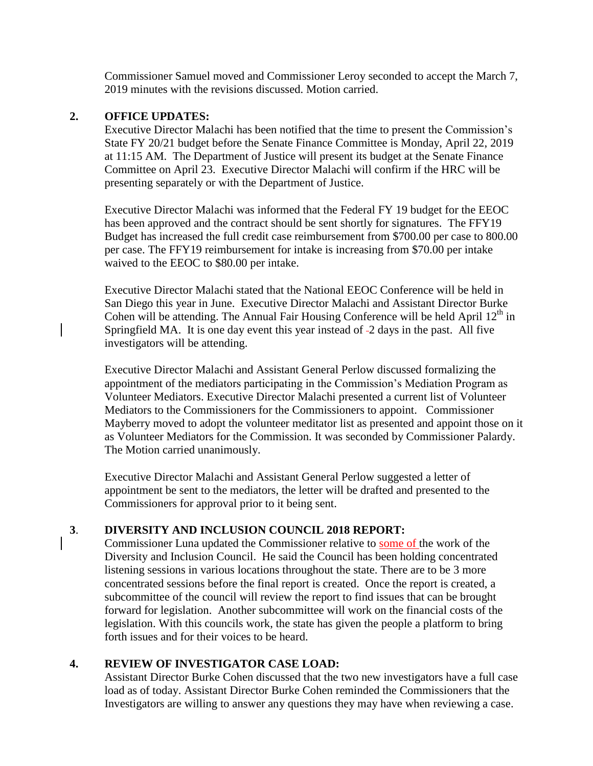Commissioner Samuel moved and Commissioner Leroy seconded to accept the March 7, 2019 minutes with the revisions discussed. Motion carried.

#### **2. OFFICE UPDATES:**

Executive Director Malachi has been notified that the time to present the Commission's State FY 20/21 budget before the Senate Finance Committee is Monday, April 22, 2019 at 11:15 AM. The Department of Justice will present its budget at the Senate Finance Committee on April 23. Executive Director Malachi will confirm if the HRC will be presenting separately or with the Department of Justice.

Executive Director Malachi was informed that the Federal FY 19 budget for the EEOC has been approved and the contract should be sent shortly for signatures. The FFY19 Budget has increased the full credit case reimbursement from \$700.00 per case to 800.00 per case. The FFY19 reimbursement for intake is increasing from \$70.00 per intake waived to the EEOC to \$80.00 per intake.

Executive Director Malachi stated that the National EEOC Conference will be held in San Diego this year in June. Executive Director Malachi and Assistant Director Burke Cohen will be attending. The Annual Fair Housing Conference will be held April  $12<sup>th</sup>$  in Springfield MA. It is one day event this year instead of -2 days in the past. All five investigators will be attending.

Executive Director Malachi and Assistant General Perlow discussed formalizing the appointment of the mediators participating in the Commission's Mediation Program as Volunteer Mediators. Executive Director Malachi presented a current list of Volunteer Mediators to the Commissioners for the Commissioners to appoint. Commissioner Mayberry moved to adopt the volunteer meditator list as presented and appoint those on it as Volunteer Mediators for the Commission. It was seconded by Commissioner Palardy. The Motion carried unanimously.

Executive Director Malachi and Assistant General Perlow suggested a letter of appointment be sent to the mediators, the letter will be drafted and presented to the Commissioners for approval prior to it being sent.

#### **3**. **DIVERSITY AND INCLUSION COUNCIL 2018 REPORT:**

Commissioner Luna updated the Commissioner relative to some of the work of the Diversity and Inclusion Council. He said the Council has been holding concentrated listening sessions in various locations throughout the state. There are to be 3 more concentrated sessions before the final report is created. Once the report is created, a subcommittee of the council will review the report to find issues that can be brought forward for legislation. Another subcommittee will work on the financial costs of the legislation. With this councils work, the state has given the people a platform to bring forth issues and for their voices to be heard.

#### **4. REVIEW OF INVESTIGATOR CASE LOAD:**

Assistant Director Burke Cohen discussed that the two new investigators have a full case load as of today. Assistant Director Burke Cohen reminded the Commissioners that the Investigators are willing to answer any questions they may have when reviewing a case.